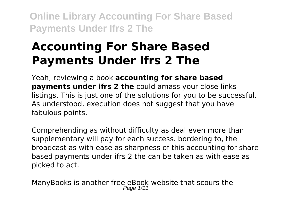# **Accounting For Share Based Payments Under Ifrs 2 The**

Yeah, reviewing a book **accounting for share based payments under ifrs 2 the** could amass your close links listings. This is just one of the solutions for you to be successful. As understood, execution does not suggest that you have fabulous points.

Comprehending as without difficulty as deal even more than supplementary will pay for each success. bordering to, the broadcast as with ease as sharpness of this accounting for share based payments under ifrs 2 the can be taken as with ease as picked to act.

ManyBooks is another free eBook website that scours the Page 1/11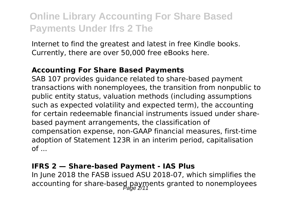Internet to find the greatest and latest in free Kindle books. Currently, there are over 50,000 free eBooks here.

#### **Accounting For Share Based Payments**

SAB 107 provides guidance related to share-based payment transactions with nonemployees, the transition from nonpublic to public entity status, valuation methods (including assumptions such as expected volatility and expected term), the accounting for certain redeemable financial instruments issued under sharebased payment arrangements, the classification of compensation expense, non-GAAP financial measures, first-time adoption of Statement 123R in an interim period, capitalisation  $of \dots$ 

#### **IFRS 2 — Share-based Payment - IAS Plus**

In June 2018 the FASB issued ASU 2018-07, which simplifies the accounting for share-based payments granted to nonemployees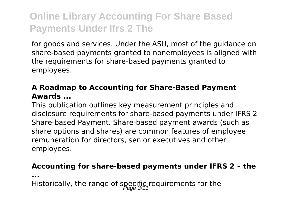for goods and services. Under the ASU, most of the guidance on share-based payments granted to nonemployees is aligned with the requirements for share-based payments granted to employees.

### **A Roadmap to Accounting for Share-Based Payment Awards ...**

This publication outlines key measurement principles and disclosure requirements for share-based payments under IFRS 2 Share-based Payment. Share-based payment awards (such as share options and shares) are common features of employee remuneration for directors, senior executives and other employees.

#### **Accounting for share-based payments under IFRS 2 – the**

**...**

Historically, the range of specific requirements for the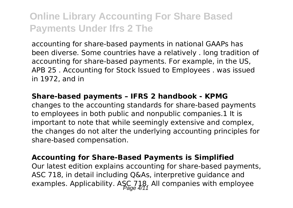accounting for share-based payments in national GAAPs has been diverse. Some countries have a relatively . long tradition of accounting for share-based payments. For example, in the US, APB 25 . Accounting for Stock Issued to Employees . was issued in 1972, and in

#### **Share-based payments – IFRS 2 handbook - KPMG**

changes to the accounting standards for share-based payments to employees in both public and nonpublic companies.1 It is important to note that while seemingly extensive and complex, the changes do not alter the underlying accounting principles for share-based compensation.

#### **Accounting for Share-Based Payments is Simplified**

Our latest edition explains accounting for share-based payments, ASC 718, in detail including Q&As, interpretive guidance and examples. Applicability. ASC 718, All companies with employee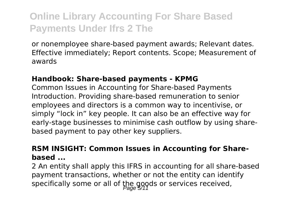or nonemployee share-based payment awards; Relevant dates. Effective immediately; Report contents. Scope; Measurement of awards

#### **Handbook: Share-based payments - KPMG**

Common Issues in Accounting for Share-based Payments Introduction. Providing share-based remuneration to senior employees and directors is a common way to incentivise, or simply "lock in" key people. It can also be an effective way for early-stage businesses to minimise cash outflow by using sharebased payment to pay other key suppliers.

#### **RSM INSIGHT: Common Issues in Accounting for Sharebased ...**

2 An entity shall apply this IFRS in accounting for all share-based payment transactions, whether or not the entity can identify specifically some or all of the goods or services received,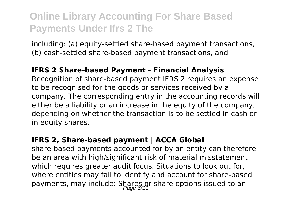including: (a) equity-settled share-based payment transactions, (b) cash-settled share-based payment transactions, and

#### **IFRS 2 Share-based Payment - Financial Analysis**

Recognition of share-based payment IFRS 2 requires an expense to be recognised for the goods or services received by a company. The corresponding entry in the accounting records will either be a liability or an increase in the equity of the company, depending on whether the transaction is to be settled in cash or in equity shares.

#### **IFRS 2, Share-based payment | ACCA Global**

share-based payments accounted for by an entity can therefore be an area with high/significant risk of material misstatement which requires greater audit focus. Situations to look out for, where entities may fail to identify and account for share-based payments, may include: Shares or share options issued to an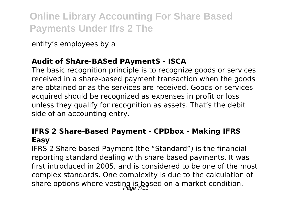entity's employees by a

### **Audit of ShAre-BASed PAymentS - ISCA**

The basic recognition principle is to recognize goods or services received in a share-based payment transaction when the goods are obtained or as the services are received. Goods or services acquired should be recognized as expenses in profit or loss unless they qualify for recognition as assets. That's the debit side of an accounting entry.

### **IFRS 2 Share-Based Payment - CPDbox - Making IFRS Easy**

IFRS 2 Share-based Payment (the "Standard") is the financial reporting standard dealing with share based payments. It was first introduced in 2005, and is considered to be one of the most complex standards. One complexity is due to the calculation of share options where vesting is based on a market condition.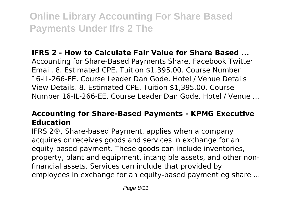### **IFRS 2 - How to Calculate Fair Value for Share Based ...**

Accounting for Share-Based Payments Share. Facebook Twitter Email. 8. Estimated CPE. Tuition \$1,395.00. Course Number 16-IL-266-EE. Course Leader Dan Gode. Hotel / Venue Details View Details. 8. Estimated CPE. Tuition \$1,395.00. Course Number 16-IL-266-EE. Course Leader Dan Gode. Hotel / Venue ...

## **Accounting for Share-Based Payments - KPMG Executive Education**

IFRS 2®, Share-based Payment, applies when a company acquires or receives goods and services in exchange for an equity-based payment. These goods can include inventories, property, plant and equipment, intangible assets, and other nonfinancial assets. Services can include that provided by employees in exchange for an equity-based payment eg share ...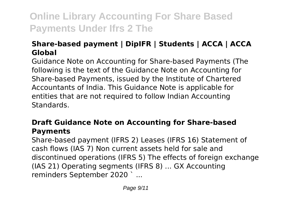## **Share-based payment | DipIFR | Students | ACCA | ACCA Global**

Guidance Note on Accounting for Share-based Payments (The following is the text of the Guidance Note on Accounting for Share-based Payments, issued by the Institute of Chartered Accountants of India. This Guidance Note is applicable for entities that are not required to follow Indian Accounting **Standards** 

### **Draft Guidance Note on Accounting for Share-based Payments**

Share-based payment (IFRS 2) Leases (IFRS 16) Statement of cash flows (IAS 7) Non current assets held for sale and discontinued operations (IFRS 5) The effects of foreign exchange (IAS 21) Operating segments (IFRS 8) ... GX Accounting reminders September 2020 ` ...